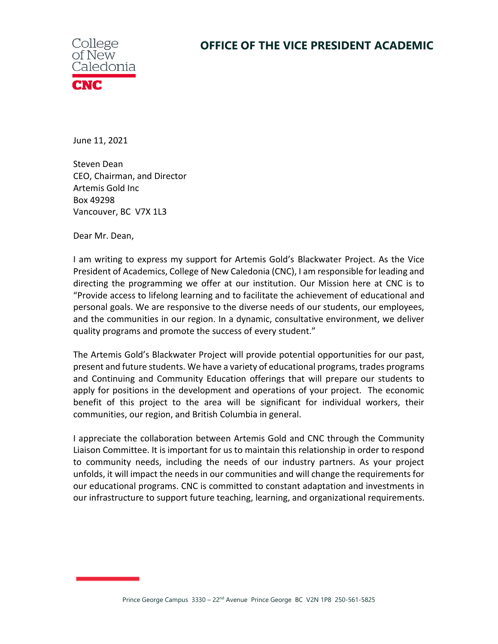

June 11, 2021

Steven Dean CEO, Chairman, and Director Artemis Gold Inc Box 49298 Vancouver, BC V7X 1L3

Dear Mr. Dean,

I am writing to express my support for Artemis Gold's Blackwater Project. As the Vice President of Academics, College of New Caledonia (CNC), I am responsible for leading and directing the programming we offer at our institution. Our Mission here at CNC is to "Provide access to lifelong learning and to facilitate the achievement of educational and personal goals. We are responsive to the diverse needs of our students, our employees, and the communities in our region. In a dynamic, consultative environment, we deliver quality programs and promote the success of every student."

The Artemis Gold's Blackwater Project will provide potential opportunities for our past, present and future students. We have a variety of educational programs, trades programs and Continuing and Community Education offerings that will prepare our students to apply for positions in the development and operations of your project. The economic benefit of this project to the area will be significant for individual workers, their communities, our region, and British Columbia in general.

I appreciate the collaboration between Artemis Gold and CNC through the Community Liaison Committee. It is important for us to maintain this relationship in order to respond to community needs, including the needs of our industry partners. As your project unfolds, it will impact the needs in our communities and will change the requirements for our educational programs. CNC is committed to constant adaptation and investments in our infrastructure to support future teaching, learning, and organizational requirements.